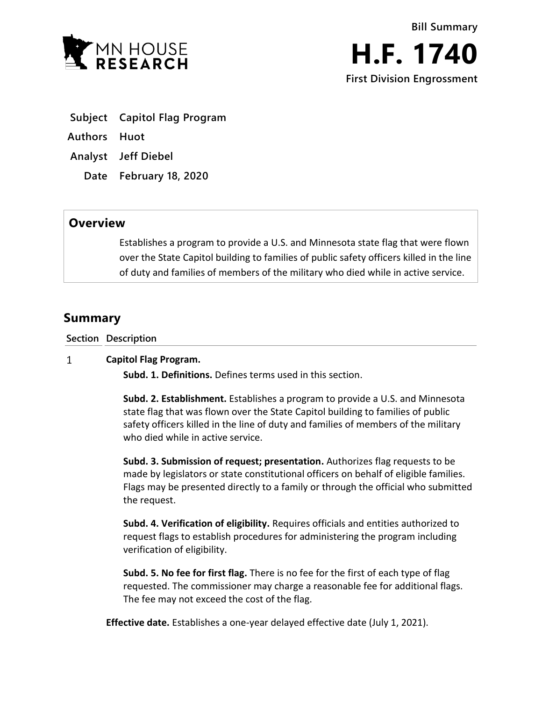

- **Subject Capitol Flag Program**
- **Authors Huot**
- **Analyst Jeff Diebel**
	- **Date February 18, 2020**

## **Overview**

Establishes a program to provide a U.S. and Minnesota state flag that were flown over the State Capitol building to families of public safety officers killed in the line of duty and families of members of the military who died while in active service.

# **Summary**

**Section Description**

#### $\mathbf{1}$ **Capitol Flag Program.**

**Subd. 1. Definitions.** Defines terms used in this section.

**Subd. 2. Establishment.** Establishes a program to provide a U.S. and Minnesota state flag that was flown over the State Capitol building to families of public safety officers killed in the line of duty and families of members of the military who died while in active service.

**Subd. 3. Submission of request; presentation.** Authorizes flag requests to be made by legislators or state constitutional officers on behalf of eligible families. Flags may be presented directly to a family or through the official who submitted the request.

**Subd. 4. Verification of eligibility.** Requires officials and entities authorized to request flags to establish procedures for administering the program including verification of eligibility.

**Subd. 5. No fee for first flag.** There is no fee for the first of each type of flag requested. The commissioner may charge a reasonable fee for additional flags. The fee may not exceed the cost of the flag.

**Effective date.** Establishes a one-year delayed effective date (July 1, 2021).